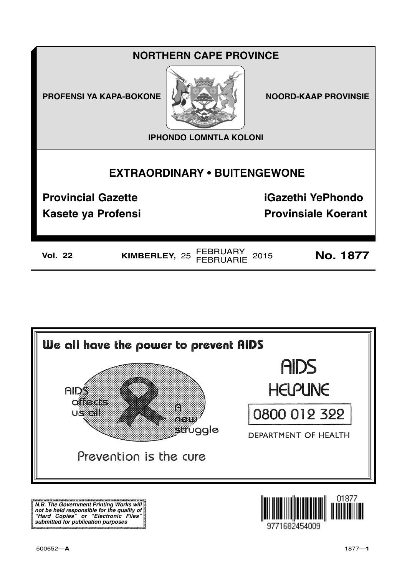# **NORTHERN CAPE PROVINCE**

**PROFENSI YA KAPA-BOKONE NOORD-KAAP PROVINSIE** 



**IPHONDO LOMNTLA KOLONI**

# **EXTRAORDINARY • BUITENGEWONE**

**Provincial Gazette iGazethi YePhondo**

**Kasete ya Profensi Provinsiale Koerant** 

**Vol. 22 KIMBERLEY,** <sup>25</sup>FEBRUARY FEBRUARIE <sup>2015</sup> **No. 1877**



**N.B. The Government Printing Works will not be held responsible for the quality of "Hard Copies" or "Electronic Files" submitted for publication purposes**

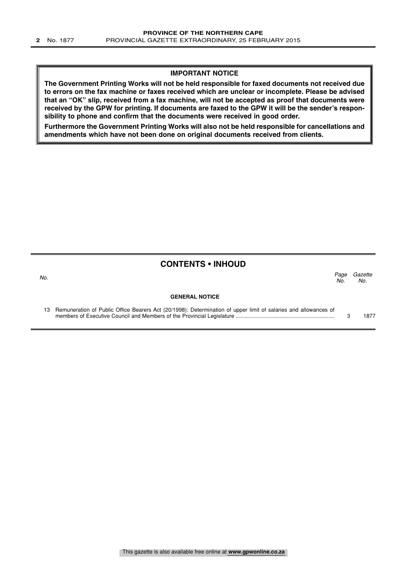#### **IMPORTANT NOTICE**

**The Government Printing Works will not be held responsible for faxed documents not received due to errors on the fax machine or faxes received which are unclear or incomplete. Please be advised that an "OK" slip, received from a fax machine, will not be accepted as proof that documents were received by the GPW for printing. If documents are faxed to the GPW it will be the sender's responsibility to phone and confirm that the documents were received in good order.**

**Furthermore the Government Printing Works will also not be held responsible for cancellations and amendments which have not been done on original documents received from clients.**

#### **CONTENTS • INHOUD**

| No. |                                                                                                                    | Paae<br>No. | Gazette<br>No. |
|-----|--------------------------------------------------------------------------------------------------------------------|-------------|----------------|
|     | <b>GENERAL NOTICE</b>                                                                                              |             |                |
|     | 13 Remuneration of Public Office Bearers Act (20/1998): Determination of upper limit of salaries and allowances of |             | 1877           |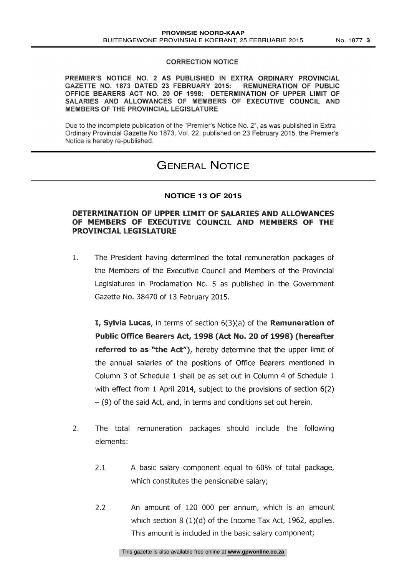PREMIER'S NOTICE NO. 2 AS PUBLISHED IN EXTRA ORDINARY PROVINCIAL GAZETTE NO. 1873 DATED 23 FEBRUARY 2015: REMUNERATION OF PUBLIC OFFICE BEARERS ACT NO. 20 OF 1998: DETERMINATION OF UPPER LIMIT OF SALARIES AND ALLOWANCES OF MEMBERS OF EXECUTIVE COUNCIL AND MEMBERS OF THE PROVINCIAL LEGISLATURE

Due to the incomplete publication of the "Premier's Notice No 2", as was published in Extra Ordinary Provincial Gazette No 1873, Vol. 22, published on 23 February 2015, the Premier's Notice is hereby re-published.

## GENERAL NOTICE

#### **NOTICE 13 OF 2015**

#### DETERMINATION OF UPPER LIMIT OF SALARIES AND ALLOWANCES OF MEMBERS OF EXECUTIVE COUNCIL AND MEMBERS OF THE PROVINCIAL LEGISLATURE

 $\mathbf{1}$ . The President having determined the total remuneration packages of the Members of the Executive Council and Members of the Provincial Legislatures in Proclamation No. 5 as published in the Government Gazette No. 38470 of 13 February 2015.

**I, Sylvia Lucas**, in terms of section  $6(3)(a)$  of the **Remuneration of** Public Office Bearers Act, 1998 (Act No. 20 of 1998) (hereafter referred to as "the Act"), hereby determine that the upper limit of the annual salaries of the positions of Office Bearers mentioned in Column 3 of Schedule 1 shall be as set out in Column 4 of Schedule 1 with effect from 1 April 2014, subject to the provisions of section 6(2)  $-$  (9) of the said Act, and, in terms and conditions set out herein.

- $2.$ The total remuneration packages should include the following elements.
	- 2.1 A basic salary component equal to 60% of total package, which constitutes the pensionable salary;
	- 2.2 An amount of 120 000 per annum, which is an amount which section 8 (1)(d) of the Income Tax Act, 1962, applies. This amount is included in the basic salary component,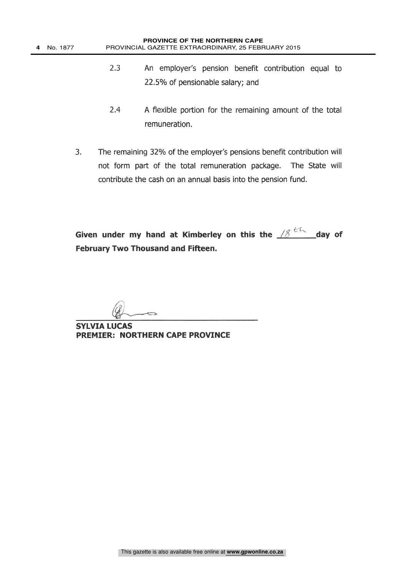- 2.3 An employer's pension benefit contribution equal to 22.5% of pensionable salary; and
- 2.4 A flexible portion for the remaining amount of the total remuneration.
- 3. The remaining 32% of the employer's pensions benefit contribution will not form part of the total remuneration package. The State will contribute the cash on an annual basis into the pension fund.

Given under my hand at Kimberley on this the  $\frac{18}{100}$  day of February Two Thousand and Fifteen.

SYLVIA LUCAS PREMIER: NORTHERN CAPE PROVINCE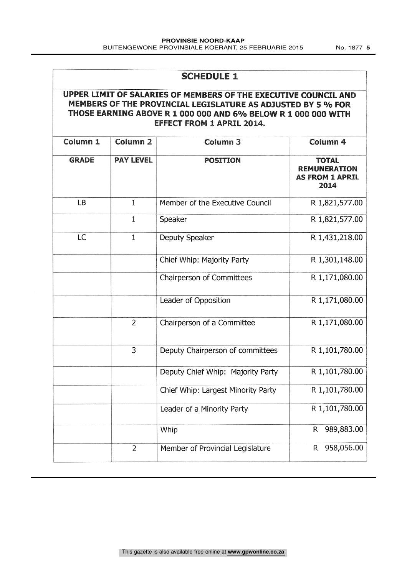## SCHEDULE 1

### UPPER LIMIT OF SALARIES OF MEMBERS OF THE EXECUTIVE COUNCIL AND MEMBERS OF THE PROVINCIAL LEGISLATURE AS ADJUSTED BY 5 % FOR THOSE EARNING ABOVE R 1 000 000 AND 6% BELOW R 1 000 000 WITH EFFECT FROM 1 APRIL 2014.

| Column 1     | Column <sub>2</sub> | Column 3                           | Column 4                                                              |
|--------------|---------------------|------------------------------------|-----------------------------------------------------------------------|
| <b>GRADE</b> | <b>PAY LEVEL</b>    | <b>POSITION</b>                    | <b>TOTAL</b><br><b>REMUNERATION</b><br><b>AS FROM 1 APRIL</b><br>2014 |
| <b>LB</b>    | $\mathbf{1}$        | Member of the Executive Council    | R 1,821,577.00                                                        |
|              | $\mathbf 1$         | Speaker                            | R 1,821,577.00                                                        |
| LC           | $\mathbf{1}$        | Deputy Speaker                     | R 1,431,218.00                                                        |
|              |                     | Chief Whip: Majority Party         | R 1,301,148.00                                                        |
|              |                     | Chairperson of Committees          | R 1,171,080.00                                                        |
|              |                     | Leader of Opposition               | R 1,171,080.00                                                        |
|              | $\overline{2}$      | Chairperson of a Committee         | R 1,171,080.00                                                        |
|              | $\overline{3}$      | Deputy Chairperson of committees   | R 1,101,780.00                                                        |
|              |                     | Deputy Chief Whip: Majority Party  | R 1,101,780.00                                                        |
|              |                     | Chief Whip: Largest Minority Party | R 1,101,780.00                                                        |
|              |                     | Leader of a Minority Party         | R 1,101,780.00                                                        |
|              |                     | Whip                               | 989,883.00<br>$R_{\parallel}$                                         |
|              | $\overline{2}$      | Member of Provincial Legislature   | 958,056.00<br>R                                                       |